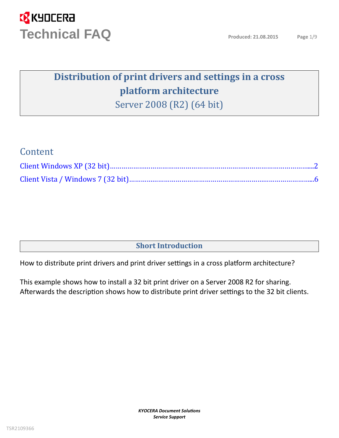### **Distribution of print drivers and settings in a cross platform architecture**

Server 2008 (R2) (64 bit)

### Content

### **Short Introduction**

How to distribute print drivers and print driver settings in a cross platform architecture?

This example shows how to install a 32 bit print driver on a Server 2008 R2 for sharing. Afterwards the description shows how to distribute print driver settings to the 32 bit clients.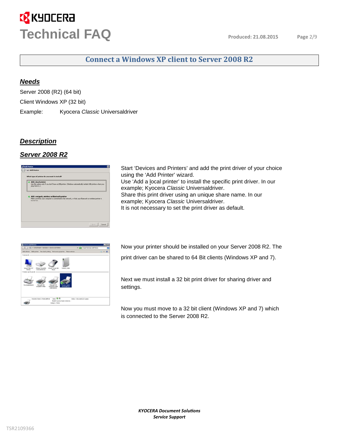### **Connect a Windows XP client to Server 2008 R2**

#### <span id="page-1-0"></span>*Needs*

Server 2008 (R2) (64 bit) Client Windows XP (32 bit) Example: Kyocera *Classic* Universaldriver

#### *Description*

#### *Server 2008 R2*

| Add a local printer<br>Lise this option only if you don't have a USB printer. (Windows automatically installs USB printers when you<br>plug them in.) |  |
|-------------------------------------------------------------------------------------------------------------------------------------------------------|--|
| Add a network, wireless or Bluetooth printer                                                                                                          |  |
| Make sure that your computer is connected to the network, or that your filuetooth or wineless printer is<br>turned on.                                |  |
|                                                                                                                                                       |  |
|                                                                                                                                                       |  |

Start 'Devices and Printers' and add the print driver of your choice using the 'Add Printer' wizard. Use 'Add a local printer' to install the specific print driver. In our example; Kyocera *Classic* Universaldriver. Share this print driver using an unique share name. In our example; Kyocera *Classic* Universaldriver. It is not necessary to set the print driver as default.



Now your printer should be installed on your Server 2008 R2. The

print driver can be shared to 64 Bit clients (Windows XP and 7).

Next we must install a 32 bit print driver for sharing driver and settings.

Now you must move to a 32 bit client (Windows XP and 7) which is connected to the Server 2008 R2.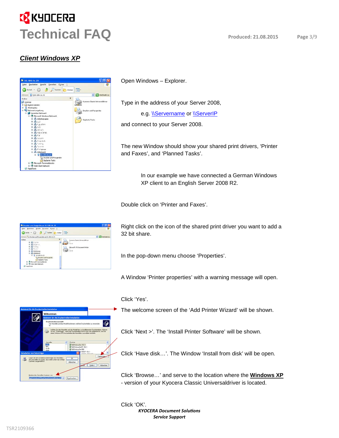### *Client Windows XP*



Open Windows – Explorer.

Type in the address of your Server 2008,

e.g. *\\Servername or \\ServerIP* 

and connect to your Server 2008.

The new Window should show your shared print drivers, 'Printer and Faxes', and 'Planned Tasks'.

> In our example we have connected a German Windows XP client to an English Server 2008 R2.

Double click on 'Printer and Faxes'.



Right click on the icon of the shared print driver you want to add a 32 bit share.

In the pop-down menu choose 'Properties'.

A Window 'Printer properties' with a warning message will open.

#### Click 'Yes'.

The welcome screen of the 'Add Printer Wizard' will be shown.

Click 'Next >'. The 'Install Printer Software' will be shown.

Click 'Have disk…'. The Window 'Install from disk' will be open.

Click 'Browse…' and serve to the location where the **Windows XP** - version of your Kyocera Classic Universaldriver is located.



*KYOCERA Document Solution Service Support* Click 'OK'.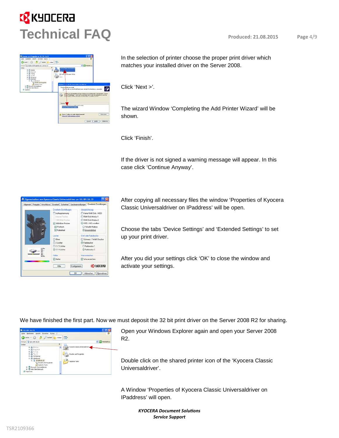

In the selection of printer choose the proper print driver which matches your installed driver on the Server 2008.

Click 'Next >'.

The wizard Window 'Completing the Add Printer Wizard' will be shown.

Click 'Finish'.

If the driver is not signed a warning message will appear. In this case click 'Continue Anyway'.



After copying all necessary files the window 'Properties of Kyocera Classic Universaldriver on IPaddress' will be open.

Choose the tabs 'Device Settings' and 'Extended Settings' to set up your print driver.

After you did your settings click 'OK' to close the window and activate your settings.

We have finished the first part. Now we must deposit the 32 bit print driver on the Server 2008 R2 for sharing.



Open your Windows Explorer again and open your Server 2008 R2.

Double click on the shared printer icon of the 'Kyocera Classic Universaldriver'.

A Window 'Properties of Kyocera Classic Universaldriver on IPaddress' will open.

> *KYOCERA Document Solution Service Support*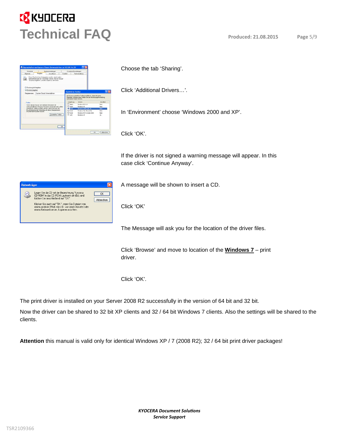

| Scholar                  |                                               | Serateoristofungen                                                                                                                                                 |                          | Emolarte Einstellungen                  |                                                                                                            |                                                             |
|--------------------------|-----------------------------------------------|--------------------------------------------------------------------------------------------------------------------------------------------------------------------|--------------------------|-----------------------------------------|------------------------------------------------------------------------------------------------------------|-------------------------------------------------------------|
| Algenes                  | Fmigabe                                       | Arno Monte.                                                                                                                                                        | Counted                  |                                         | Telementurg                                                                                                |                                                             |
| C Diucker nicht bnigeben |                                               | Dieser Daucher Lann Nainenehen werden, damit auchen-<br>Networkberutzer ihn versender können. Klicken Sie auf<br>"Diucker heigeben", um dese Dation zu aktivieren. |                          |                                         |                                                                                                            |                                                             |
| C Ducker Insurters       |                                               |                                                                                                                                                                    |                          | <b>Zusätzliche Treiber</b>              |                                                                                                            |                                                             |
|                          | Feigsbenane Kycosy Cassic Liniversidsver      |                                                                                                                                                                    |                          |                                         |                                                                                                            |                                                             |
| Tradition                | Wenn deser Disclos: von ineheren Berubten mit | urterschiedlichen Windows-Veräuwen verwendet wird unäher-<br>published Treductivated comby, dand Benutzer dan                                                      | □ Abha<br>□<br>o         | Uncekung.<br><b>TACA</b><br><b>Side</b> | automation's faders kinners.<br><b>Manufacture</b><br>Windsor NT 4.5<br>Windsor W1<br>Windows 2000 oder 50 | Inst allest<br><b>Rédict</b><br><b>Nein</b><br><b>Farmy</b> |
|                          | Drucker nicht suchen nuisien.                 | Discitable bei der Verbindung nit einem freigegebenen.                                                                                                             | $\square$ Different      |                                         | Windows 95, 96 und Ne                                                                                      | Februs.                                                     |
|                          |                                               | Zusätzliche Troiber                                                                                                                                                | $\square$ basi<br>El 104 |                                         | Windows NT 4.8 pdgr 2000.                                                                                  | <b>TANY</b>                                                 |
|                          |                                               |                                                                                                                                                                    | ne                       |                                         | Windows Str                                                                                                | 34                                                          |
|                          |                                               |                                                                                                                                                                    |                          |                                         |                                                                                                            |                                                             |

Choose the tab 'Sharing'.

Click 'Additional Drivers…'.

In 'Environment' choose 'Windows 2000 and XP'.

Click 'OK'.

If the driver is not signed a warning message will appear. In this case click 'Continue Anyway'.

A message will be shown to insert a CD.

Click 'OK'

The Message will ask you for the location of the driver files.

Click 'Browse' and move to location of the **Windows 7** – print driver.

Click 'OK'.

The print driver is installed on your Server 2008 R2 successfully in the version of 64 bit and 32 bit.

Now the driver can be shared to 32 bit XP clients and 32 / 64 bit Windows 7 clients. Also the settings will be shared to the clients.

**Attention** this manual is valid only for identical Windows XP / 7 (2008 R2); 32 / 64 bit print driver packages!

| <b>Datenträger</b> |                                                                                                                                                                                                                                                                                           |           |
|--------------------|-------------------------------------------------------------------------------------------------------------------------------------------------------------------------------------------------------------------------------------------------------------------------------------------|-----------|
|                    | Legen Sie die CD mit der Bezeichnung 'Kvocera<br>CD-ROM' in das CD-ROM-Laufwerk ein (G:), und<br>klicken Sie anschließend auf "DK".<br>Klicken Sie auch auf "OK", wenn Sie Dateien von<br>einem anderen Pfad, wie z.B. von einer Diskette oder<br>einem Netzwerkserver, kopieren möchten. | Ahhrechen |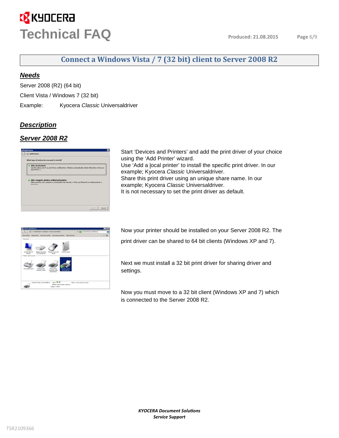### **Connect a Windows Vista / 7 (32 bit) client to Server 2008 R2**

#### <span id="page-5-0"></span>*Needs*

Server 2008 (R2) (64 bit)

Client Vista / Windows 7 (32 bit)

Example: Kyocera *Classic* Universaldriver

#### *Description*

### *Server 2008 R2*

| What type of printer do you want to install?                                                                                                                          |
|-----------------------------------------------------------------------------------------------------------------------------------------------------------------------|
| Add a local printer<br>Use this option only if you don't have a USB printer. (Windows automatically installs USB printers when you<br>plug them in. J.                |
| Add a network, wireless or Bluetooth printer<br>Make sure that your computer is connected to the network, or that your Bluetooth or wireless printer is<br>turned on. |
|                                                                                                                                                                       |

Start 'Devices and Printers' and add the print driver of your choice using the 'Add Printer' wizard. Use 'Add a local printer' to install the specific print driver. In our example; Kyocera *Classic* Universaldriver. Share this print driver using an unique share name. In our example; Kyocera *Classic* Universaldriver. It is not necessary to set the print driver as default.



Now your printer should be installed on your Server 2008 R2. The

print driver can be shared to 64 bit clients (Windows XP and 7).

Next we must install a 32 bit print driver for sharing driver and settings.

Now you must move to a 32 bit client (Windows XP and 7) which is connected to the Server 2008 R2.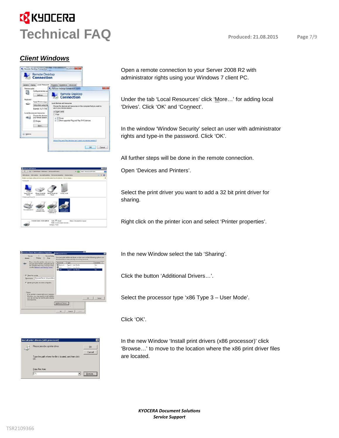#### *Client Windows*



Open a remote connection to your Server 2008 R2 with administrator rights using your Windows 7 client PC.

Under the tab 'Local Resources' click 'More…' for adding local 'Drives'. Click 'OK' and 'Connect'.

In the window 'Window Security' select an user with administrator rights and type-in the password. Click 'OK'.

All further steps will be done in the remote connection.



Open 'Devices and Printers'.

Select the print driver you want to add a 32 bit print driver for sharing.

Right click on the printer icon and select 'Printer properties'.

|                       | <b>Neucera Classic Universaldriver Properties</b>                                  | <b>Additional Drivers</b> |                                                                                                                                 |    |                 |
|-----------------------|------------------------------------------------------------------------------------|---------------------------|---------------------------------------------------------------------------------------------------------------------------------|----|-----------------|
| Senata<br>General     | <b>Direiton Seiting</b><br><b>Chairma</b><br>Patt                                  |                           | You can install additional drivers to that winn an the following systems can<br>developed them automatically when they connect. |    |                 |
|                       | If you more this prister, andy users only<br>and parrword for this computer can pr | Precessor                 | Type                                                                                                                            |    | <b>Witalled</b> |
|                       | be sunitable when the consoures sleeps                                             | <b>Basico</b>             | Type 3 - User Mode                                                                                                              |    | NA              |
|                       | une the Natwork and Drawing Contex.                                                | $B = 5$                   | Type 2 - Unit Mode                                                                                                              |    | War.            |
|                       |                                                                                    | <b>Z</b> as               | Type 3 - User Mode                                                                                                              |    | Ns              |
|                       |                                                                                    |                           |                                                                                                                                 |    |                 |
| 57 Share this printer |                                                                                    |                           |                                                                                                                                 |    |                 |
| Share manner          | Kyocers Clarric Universidence                                                      |                           |                                                                                                                                 |    |                 |
|                       |                                                                                    |                           |                                                                                                                                 |    |                 |
|                       | F Bender print jobs on client computers                                            |                           |                                                                                                                                 |    |                 |
|                       |                                                                                    |                           |                                                                                                                                 |    |                 |
|                       |                                                                                    |                           |                                                                                                                                 |    |                 |
| Deuver                |                                                                                    |                           |                                                                                                                                 |    |                 |
|                       | If this printer is shared with sciers running c                                    |                           |                                                                                                                                 |    |                 |
|                       | Windows, you may went to install addition                                          |                           |                                                                                                                                 |    |                 |
|                       |                                                                                    |                           |                                                                                                                                 | OK | Concell         |
|                       | users do not have to find the paint driver will                                    |                           |                                                                                                                                 |    |                 |
| shared parter.        |                                                                                    |                           |                                                                                                                                 |    |                 |
|                       |                                                                                    | Additional Devers         |                                                                                                                                 |    |                 |
|                       |                                                                                    |                           |                                                                                                                                 |    |                 |
|                       |                                                                                    | 06                        | Concel                                                                                                                          |    |                 |

| Install print drivers (x86 processor)                                 | ×                                         |
|-----------------------------------------------------------------------|-------------------------------------------|
| Please provide a printer driver.                                      | <b>OK</b>                                 |
|                                                                       | Cancel                                    |
| Type the path where the file is located, and then click.<br><b>nk</b> |                                           |
|                                                                       |                                           |
| Copy files from:                                                      |                                           |
| lE:۱                                                                  | <br><b>Browse</b><br>-------------------- |

In the new Window select the tab 'Sharing'.

Click the button 'Additional Drivers…'.

Select the processor type 'x86 Type 3 – User Mode'.

Click 'OK'.

In the new Window 'Install print drivers (x86 processor)' click 'Browse…' to move to the location where the x86 print driver files are located.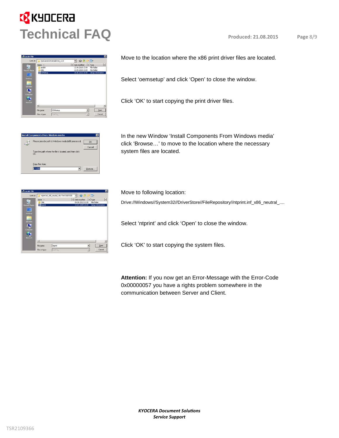#### -Locate File Lock in  $\overline{.}$  0  $\overline{.}$  $\frac{1}{2}$  Date modified  $\frac{1}{2}$  Type<br>12.04.2010 13:04 File 日用电话  $\vert$ File pame **OEMsets** 회 Files of by

Move to the location where the x86 print driver files are located.

Select 'oemsetup' and click 'Open' to close the window.

Click 'OK' to start copying the print driver files.



In the new Window 'Install Components From Windows media' click 'Browse…' to move to the location where the necessary system files are located.

| <b><i>d</i></b> Locate File                                                                       |                                                        |                                        |                |                                      |                          | 図                                              |
|---------------------------------------------------------------------------------------------------|--------------------------------------------------------|----------------------------------------|----------------|--------------------------------------|--------------------------|------------------------------------------------|
| Look in                                                                                           |                                                        | report of x86_neutral_c4c11fe1f3d01835 |                | Gf                                   | m-                       |                                                |
| 56<br><b>Recent Places</b><br>Desktop<br><b>Card</b><br><b>Page</b><br>Libraries<br>Ą<br>Computer | Name. -<br>1386<br><b>stprint</b>                      |                                        | - Date modered | 09.08.2010 11:09<br>13.07.2009 23:09 | $-1$ Type<br>File folder | $\cdot$<br>Setup Information                   |
| Q<br>Network                                                                                      | $\left  \cdot \right $<br>File name:<br>Files of type: | intprint<br>"Setting                   |                |                                      | ۷l<br>×                  | $\blacktriangleright$<br><b>Open</b><br>Cancel |

Move to following location:

Drive://Windows//System32//DriverStore//FileRepository//ntprint.inf\_x86\_neutral\_....

Select 'ntprint' and click 'Open' to close the window.

Click 'OK' to start copying the system files.

**Attention:** If you now get an Error-Message with the Error-Code 0x00000057 you have a rights problem somewhere in the communication between Server and Client.